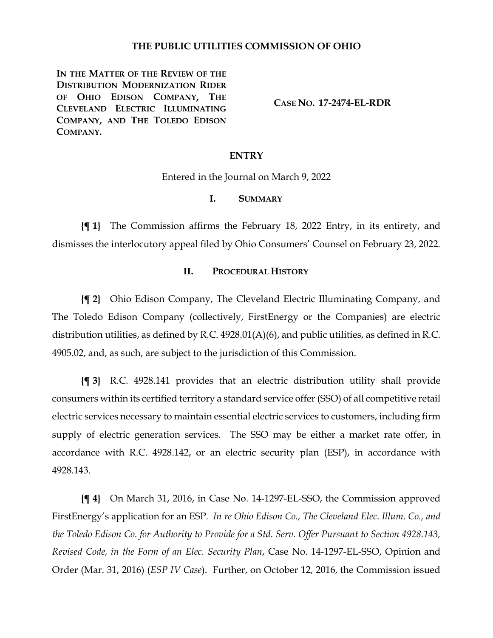### **THE PUBLIC UTILITIES COMMISSION OF OHIO**

**IN THE MATTER OF THE REVIEW OF THE DISTRIBUTION MODERNIZATION RIDER OF OHIO EDISON COMPANY, THE CLEVELAND ELECTRIC ILLUMINATING COMPANY, AND THE TOLEDO EDISON COMPANY.**

**CASE NO. 17-2474-EL-RDR**

#### **ENTRY**

Entered in the Journal on March 9, 2022

### **I. SUMMARY**

**{¶ 1}** The Commission affirms the February 18, 2022 Entry, in its entirety, and dismisses the interlocutory appeal filed by Ohio Consumers' Counsel on February 23, 2022.

### **II. PROCEDURAL HISTORY**

**{¶ 2}** Ohio Edison Company, The Cleveland Electric Illuminating Company, and The Toledo Edison Company (collectively, FirstEnergy or the Companies) are electric distribution utilities, as defined by R.C. 4928.01(A)(6), and public utilities, as defined in R.C. 4905.02, and, as such, are subject to the jurisdiction of this Commission.

**{¶ 3}** R.C. 4928.141 provides that an electric distribution utility shall provide consumers within its certified territory a standard service offer(SSO) of all competitive retail electric services necessary to maintain essential electric services to customers, including firm supply of electric generation services. The SSO may be either a market rate offer, in accordance with R.C. 4928.142, or an electric security plan (ESP), in accordance with 4928.143.

**{¶ 4}** On March 31, 2016, in Case No. 14-1297-EL-SSO, the Commission approved FirstEnergy's application for an ESP*. In re Ohio Edison Co., The Cleveland Elec. Illum. Co., and the Toledo Edison Co. for Authority to Provide for a Std. Serv. Offer Pursuant to Section 4928.143, Revised Code, in the Form of an Elec. Security Plan*, Case No. 14-1297-EL-SSO, Opinion and Order (Mar. 31, 2016) (*ESP IV Case*). Further, on October 12, 2016, the Commission issued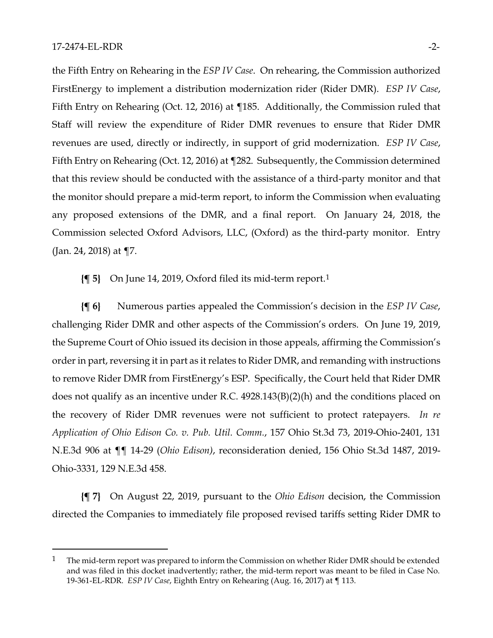the Fifth Entry on Rehearing in the *ESP IV Case*. On rehearing, the Commission authorized FirstEnergy to implement a distribution modernization rider (Rider DMR). *ESP IV Case*, Fifth Entry on Rehearing (Oct. 12, 2016) at ¶185. Additionally, the Commission ruled that Staff will review the expenditure of Rider DMR revenues to ensure that Rider DMR revenues are used, directly or indirectly, in support of grid modernization. *ESP IV Case*, Fifth Entry on Rehearing (Oct. 12, 2016) at ¶282. Subsequently, the Commission determined that this review should be conducted with the assistance of a third-party monitor and that the monitor should prepare a mid-term report, to inform the Commission when evaluating any proposed extensions of the DMR, and a final report. On January 24, 2018, the Commission selected Oxford Advisors, LLC, (Oxford) as the third-party monitor. Entry (Jan. 24, 2018) at ¶7.

**{¶ 5}** On June 14, 2019, Oxford filed its mid-term report.[1](#page-1-0)

**{¶ 6}** Numerous parties appealed the Commission's decision in the *ESP IV Case*, challenging Rider DMR and other aspects of the Commission's orders. On June 19, 2019, the Supreme Court of Ohio issued its decision in those appeals, affirming the Commission's order in part, reversing it in part as it relates to Rider DMR, and remanding with instructions to remove Rider DMR from FirstEnergy's ESP. Specifically, the Court held that Rider DMR does not qualify as an incentive under R.C. 4928.143(B)(2)(h) and the conditions placed on the recovery of Rider DMR revenues were not sufficient to protect ratepayers. *In re Application of Ohio Edison Co. v. Pub. Util. Comm.*, 157 Ohio St.3d 73, 2019-Ohio-2401, 131 N.E.3d 906 at ¶¶ 14-29 (*Ohio Edison)*, reconsideration denied, 156 Ohio St.3d 1487, 2019- Ohio-3331, 129 N.E.3d 458.

**{¶ 7}** On August 22, 2019, pursuant to the *Ohio Edison* decision, the Commission directed the Companies to immediately file proposed revised tariffs setting Rider DMR to

<span id="page-1-0"></span> $1$  The mid-term report was prepared to inform the Commission on whether Rider DMR should be extended and was filed in this docket inadvertently; rather, the mid-term report was meant to be filed in Case No. 19-361-EL-RDR. *ESP IV Case*, Eighth Entry on Rehearing (Aug. 16, 2017) at ¶ 113.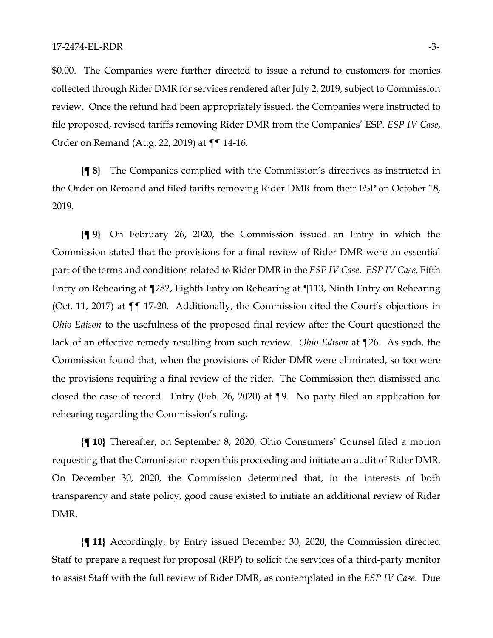#### 17-2474-EL-RDR -3-

\$0.00. The Companies were further directed to issue a refund to customers for monies collected through Rider DMR for services rendered after July 2, 2019, subject to Commission review. Once the refund had been appropriately issued, the Companies were instructed to file proposed, revised tariffs removing Rider DMR from the Companies' ESP. *ESP IV Case*, Order on Remand (Aug. 22, 2019) at ¶¶ 14-16.

**{¶ 8}** The Companies complied with the Commission's directives as instructed in the Order on Remand and filed tariffs removing Rider DMR from their ESP on October 18, 2019.

**{¶ 9}** On February 26, 2020, the Commission issued an Entry in which the Commission stated that the provisions for a final review of Rider DMR were an essential part of the terms and conditions related to Rider DMR in the *ESP IV Case*. *ESP IV Case*, Fifth Entry on Rehearing at ¶282, Eighth Entry on Rehearing at ¶113, Ninth Entry on Rehearing (Oct. 11, 2017) at ¶¶ 17-20. Additionally, the Commission cited the Court's objections in *Ohio Edison* to the usefulness of the proposed final review after the Court questioned the lack of an effective remedy resulting from such review. *Ohio Edison* at ¶26. As such, the Commission found that, when the provisions of Rider DMR were eliminated, so too were the provisions requiring a final review of the rider. The Commission then dismissed and closed the case of record. Entry (Feb. 26, 2020) at ¶9. No party filed an application for rehearing regarding the Commission's ruling.

**{¶ 10}** Thereafter, on September 8, 2020, Ohio Consumers' Counsel filed a motion requesting that the Commission reopen this proceeding and initiate an audit of Rider DMR. On December 30, 2020, the Commission determined that, in the interests of both transparency and state policy, good cause existed to initiate an additional review of Rider DMR.

**{¶ 11}** Accordingly, by Entry issued December 30, 2020, the Commission directed Staff to prepare a request for proposal (RFP) to solicit the services of a third-party monitor to assist Staff with the full review of Rider DMR, as contemplated in the *ESP IV Case*. Due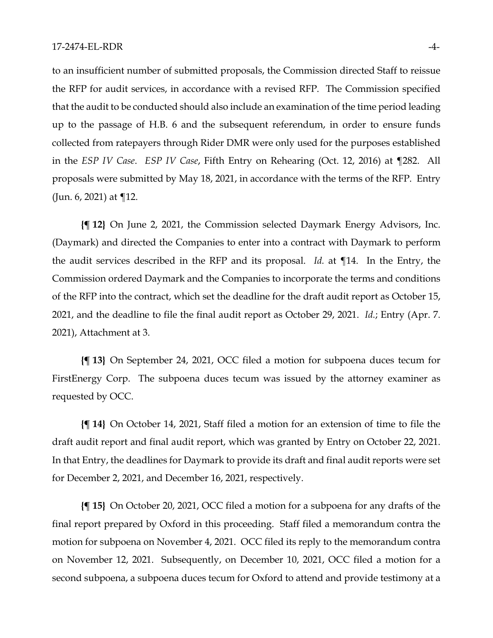to an insufficient number of submitted proposals, the Commission directed Staff to reissue the RFP for audit services, in accordance with a revised RFP. The Commission specified that the audit to be conducted should also include an examination of the time period leading up to the passage of H.B. 6 and the subsequent referendum, in order to ensure funds collected from ratepayers through Rider DMR were only used for the purposes established in the *ESP IV Case*. *ESP IV Case*, Fifth Entry on Rehearing (Oct. 12, 2016) at ¶282. All proposals were submitted by May 18, 2021, in accordance with the terms of the RFP. Entry (Jun. 6, 2021) at ¶12.

**{¶ 12}** On June 2, 2021, the Commission selected Daymark Energy Advisors, Inc. (Daymark) and directed the Companies to enter into a contract with Daymark to perform the audit services described in the RFP and its proposal. *Id.* at ¶14. In the Entry, the Commission ordered Daymark and the Companies to incorporate the terms and conditions of the RFP into the contract, which set the deadline for the draft audit report as October 15, 2021, and the deadline to file the final audit report as October 29, 2021. *Id.*; Entry (Apr. 7. 2021), Attachment at 3.

**{¶ 13}** On September 24, 2021, OCC filed a motion for subpoena duces tecum for FirstEnergy Corp. The subpoena duces tecum was issued by the attorney examiner as requested by OCC.

**{¶ 14}** On October 14, 2021, Staff filed a motion for an extension of time to file the draft audit report and final audit report, which was granted by Entry on October 22, 2021. In that Entry, the deadlines for Daymark to provide its draft and final audit reports were set for December 2, 2021, and December 16, 2021, respectively.

**{¶ 15}** On October 20, 2021, OCC filed a motion for a subpoena for any drafts of the final report prepared by Oxford in this proceeding. Staff filed a memorandum contra the motion for subpoena on November 4, 2021. OCC filed its reply to the memorandum contra on November 12, 2021. Subsequently, on December 10, 2021, OCC filed a motion for a second subpoena, a subpoena duces tecum for Oxford to attend and provide testimony at a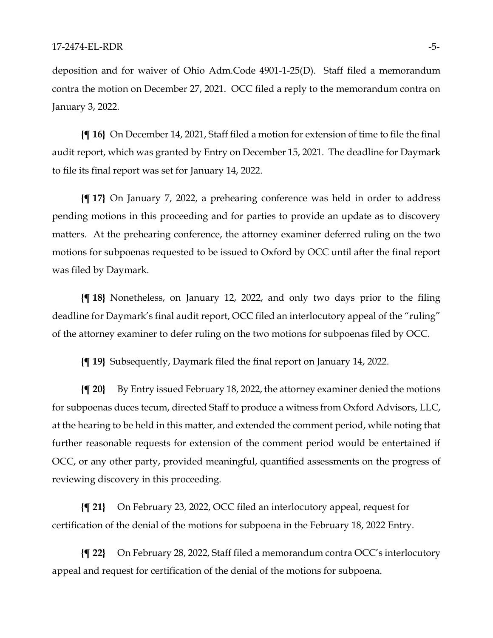deposition and for waiver of Ohio Adm.Code 4901-1-25(D). Staff filed a memorandum contra the motion on December 27, 2021. OCC filed a reply to the memorandum contra on January 3, 2022.

**{¶ 16}** On December 14, 2021, Staff filed a motion for extension of time to file the final audit report, which was granted by Entry on December 15, 2021. The deadline for Daymark to file its final report was set for January 14, 2022.

**{¶ 17}** On January 7, 2022, a prehearing conference was held in order to address pending motions in this proceeding and for parties to provide an update as to discovery matters. At the prehearing conference, the attorney examiner deferred ruling on the two motions for subpoenas requested to be issued to Oxford by OCC until after the final report was filed by Daymark.

**{¶ 18}** Nonetheless, on January 12, 2022, and only two days prior to the filing deadline for Daymark's final audit report, OCC filed an interlocutory appeal of the "ruling" of the attorney examiner to defer ruling on the two motions for subpoenas filed by OCC.

**{¶ 19}** Subsequently, Daymark filed the final report on January 14, 2022.

**{¶ 20}** By Entry issued February 18, 2022, the attorney examiner denied the motions for subpoenas duces tecum, directed Staff to produce a witness from Oxford Advisors, LLC, at the hearing to be held in this matter, and extended the comment period, while noting that further reasonable requests for extension of the comment period would be entertained if OCC, or any other party, provided meaningful, quantified assessments on the progress of reviewing discovery in this proceeding.

**{¶ 21}** On February 23, 2022, OCC filed an interlocutory appeal, request for certification of the denial of the motions for subpoena in the February 18, 2022 Entry.

**{¶ 22}** On February 28, 2022, Staff filed a memorandum contra OCC's interlocutory appeal and request for certification of the denial of the motions for subpoena.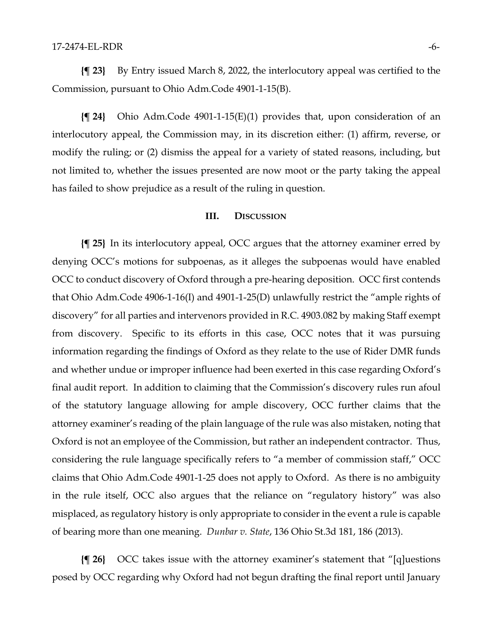**{¶ 23}** By Entry issued March 8, 2022, the interlocutory appeal was certified to the Commission, pursuant to Ohio Adm.Code 4901-1-15(B).

**{¶ 24}** Ohio Adm.Code 4901-1-15(E)(1) provides that, upon consideration of an interlocutory appeal, the Commission may, in its discretion either: (1) affirm, reverse, or modify the ruling; or (2) dismiss the appeal for a variety of stated reasons, including, but not limited to, whether the issues presented are now moot or the party taking the appeal has failed to show prejudice as a result of the ruling in question.

### **III. DISCUSSION**

**{¶ 25}** In its interlocutory appeal, OCC argues that the attorney examiner erred by denying OCC's motions for subpoenas, as it alleges the subpoenas would have enabled OCC to conduct discovery of Oxford through a pre-hearing deposition. OCC first contends that Ohio Adm.Code 4906-1-16(I) and 4901-1-25(D) unlawfully restrict the "ample rights of discovery" for all parties and intervenors provided in R.C. 4903.082 by making Staff exempt from discovery. Specific to its efforts in this case, OCC notes that it was pursuing information regarding the findings of Oxford as they relate to the use of Rider DMR funds and whether undue or improper influence had been exerted in this case regarding Oxford's final audit report. In addition to claiming that the Commission's discovery rules run afoul of the statutory language allowing for ample discovery, OCC further claims that the attorney examiner's reading of the plain language of the rule was also mistaken, noting that Oxford is not an employee of the Commission, but rather an independent contractor. Thus, considering the rule language specifically refers to "a member of commission staff," OCC claims that Ohio Adm.Code 4901-1-25 does not apply to Oxford. As there is no ambiguity in the rule itself, OCC also argues that the reliance on "regulatory history" was also misplaced, as regulatory history is only appropriate to consider in the event a rule is capable of bearing more than one meaning. *Dunbar v. State*, 136 Ohio St.3d 181, 186 (2013).

**{¶ 26}** OCC takes issue with the attorney examiner's statement that "[q]uestions posed by OCC regarding why Oxford had not begun drafting the final report until January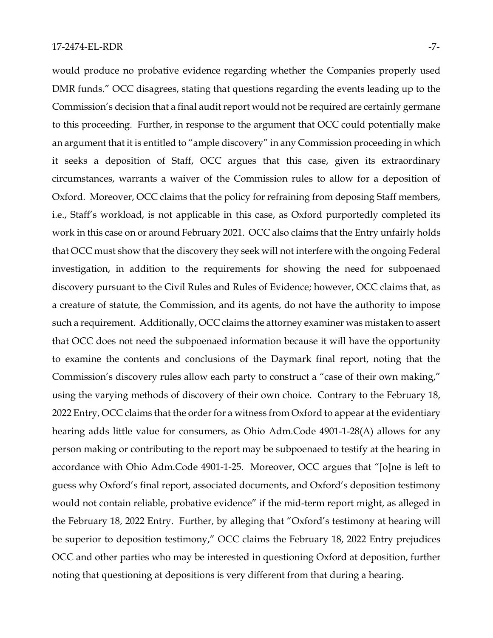would produce no probative evidence regarding whether the Companies properly used DMR funds." OCC disagrees, stating that questions regarding the events leading up to the Commission's decision that a final audit report would not be required are certainly germane to this proceeding. Further, in response to the argument that OCC could potentially make an argument that it is entitled to "ample discovery" in any Commission proceeding in which it seeks a deposition of Staff, OCC argues that this case, given its extraordinary circumstances, warrants a waiver of the Commission rules to allow for a deposition of Oxford. Moreover, OCC claims that the policy for refraining from deposing Staff members, i.e., Staff's workload, is not applicable in this case, as Oxford purportedly completed its work in this case on or around February 2021. OCC also claims that the Entry unfairly holds that OCC must show that the discovery they seek will not interfere with the ongoing Federal investigation, in addition to the requirements for showing the need for subpoenaed discovery pursuant to the Civil Rules and Rules of Evidence; however, OCC claims that, as a creature of statute, the Commission, and its agents, do not have the authority to impose such a requirement. Additionally, OCC claims the attorney examiner was mistaken to assert that OCC does not need the subpoenaed information because it will have the opportunity to examine the contents and conclusions of the Daymark final report, noting that the Commission's discovery rules allow each party to construct a "case of their own making," using the varying methods of discovery of their own choice. Contrary to the February 18, 2022 Entry, OCC claims that the order for a witness from Oxford to appear at the evidentiary hearing adds little value for consumers, as Ohio Adm.Code 4901-1-28(A) allows for any person making or contributing to the report may be subpoenaed to testify at the hearing in accordance with Ohio Adm.Code 4901-1-25. Moreover, OCC argues that "[o]ne is left to guess why Oxford's final report, associated documents, and Oxford's deposition testimony would not contain reliable, probative evidence" if the mid-term report might, as alleged in the February 18, 2022 Entry. Further, by alleging that "Oxford's testimony at hearing will be superior to deposition testimony," OCC claims the February 18, 2022 Entry prejudices OCC and other parties who may be interested in questioning Oxford at deposition, further noting that questioning at depositions is very different from that during a hearing.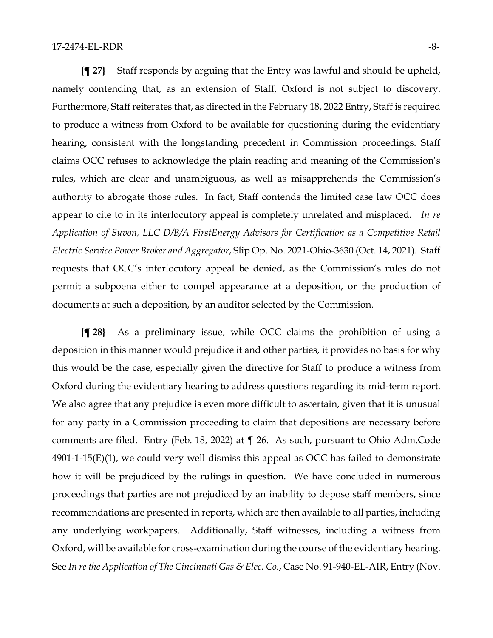**{¶ 27}** Staff responds by arguing that the Entry was lawful and should be upheld, namely contending that, as an extension of Staff, Oxford is not subject to discovery. Furthermore, Staff reiterates that, as directed in the February 18, 2022 Entry, Staff is required to produce a witness from Oxford to be available for questioning during the evidentiary hearing, consistent with the longstanding precedent in Commission proceedings. Staff claims OCC refuses to acknowledge the plain reading and meaning of the Commission's rules, which are clear and unambiguous, as well as misapprehends the Commission's authority to abrogate those rules. In fact, Staff contends the limited case law OCC does appear to cite to in its interlocutory appeal is completely unrelated and misplaced. *In re Application of Suvon, LLC D/B/A FirstEnergy Advisors for Certification as a Competitive Retail Electric Service Power Broker and Aggregator*, Slip Op. No. 2021-Ohio-3630 (Oct. 14, 2021). Staff requests that OCC's interlocutory appeal be denied, as the Commission's rules do not permit a subpoena either to compel appearance at a deposition, or the production of documents at such a deposition, by an auditor selected by the Commission.

**{¶ 28}** As a preliminary issue, while OCC claims the prohibition of using a deposition in this manner would prejudice it and other parties, it provides no basis for why this would be the case, especially given the directive for Staff to produce a witness from Oxford during the evidentiary hearing to address questions regarding its mid-term report. We also agree that any prejudice is even more difficult to ascertain, given that it is unusual for any party in a Commission proceeding to claim that depositions are necessary before comments are filed. Entry (Feb. 18, 2022) at ¶ 26. As such, pursuant to Ohio Adm.Code  $4901-1-15(E)(1)$ , we could very well dismiss this appeal as OCC has failed to demonstrate how it will be prejudiced by the rulings in question. We have concluded in numerous proceedings that parties are not prejudiced by an inability to depose staff members, since recommendations are presented in reports, which are then available to all parties, including any underlying workpapers. Additionally, Staff witnesses, including a witness from Oxford, will be available for cross-examination during the course of the evidentiary hearing. See *In re the Application of The Cincinnati Gas & Elec. Co.*, Case No. 91-940-EL-AIR, Entry (Nov.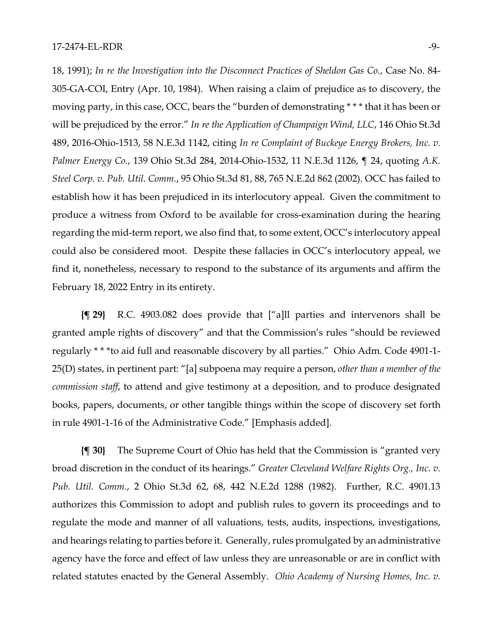18, 1991); *In re the Investigation into the Disconnect Practices of Sheldon Gas Co.*, Case No. 84- 305-GA-COI, Entry (Apr. 10, 1984). When raising a claim of prejudice as to discovery, the moving party, in this case, OCC, bears the "burden of demonstrating \* \* \* that it has been or will be prejudiced by the error." *In re the Application of Champaign Wind, LLC*, 146 Ohio St.3d 489, 2016-Ohio-1513, 58 N.E.3d 1142, citing *In re Complaint of Buckeye Energy Brokers, Inc. v. Palmer Energy Co.*, 139 Ohio St.3d 284, 2014-Ohio-1532, 11 N.E.3d 1126, ¶ 24, quoting *A.K. Steel Corp. v. Pub. Util. Comm.*, 95 Ohio St.3d 81, 88, 765 N.E.2d 862 (2002). OCC has failed to establish how it has been prejudiced in its interlocutory appeal. Given the commitment to produce a witness from Oxford to be available for cross-examination during the hearing regarding the mid-term report, we also find that, to some extent, OCC's interlocutory appeal could also be considered moot. Despite these fallacies in OCC's interlocutory appeal, we find it, nonetheless, necessary to respond to the substance of its arguments and affirm the February 18, 2022 Entry in its entirety.

**{¶ 29}** R.C. 4903.082 does provide that ["a]ll parties and intervenors shall be granted ample rights of discovery" and that the Commission's rules "should be reviewed regularly \* \* \*to aid full and reasonable discovery by all parties." Ohio Adm. Code 4901-1- 25(D) states, in pertinent part: "[a] subpoena may require a person, *other than a member of the commission staff*, to attend and give testimony at a deposition, and to produce designated books, papers, documents, or other tangible things within the scope of discovery set forth in rule 4901-1-16 of the Administrative Code." [Emphasis added].

**{¶ 30}** The Supreme Court of Ohio has held that the Commission is "granted very broad discretion in the conduct of its hearings." *Greater Cleveland Welfare Rights Org., Inc. v. Pub. Util. Comm.*, 2 Ohio St.3d 62, 68, 442 N.E.2d 1288 (1982). Further, R.C. 4901.13 authorizes this Commission to adopt and publish rules to govern its proceedings and to regulate the mode and manner of all valuations, tests, audits, inspections, investigations, and hearings relating to parties before it. Generally, rules promulgated by an administrative agency have the force and effect of law unless they are unreasonable or are in conflict with related statutes enacted by the General Assembly. *Ohio Academy of Nursing Homes, Inc. v.*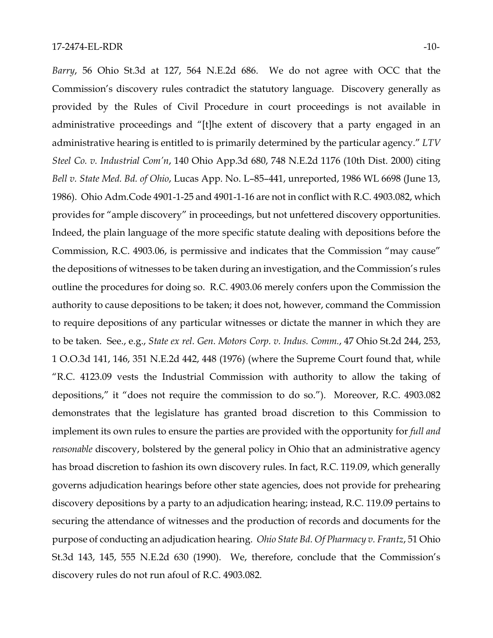17-2474-EL-RDR -10- *Barry*, 56 Ohio St.3d at 127, 564 N.E.2d 686. We do not agree with OCC that the Commission's discovery rules contradict the statutory language. Discovery generally as provided by the Rules of Civil Procedure in court proceedings is not available in administrative proceedings and "[t]he extent of discovery that a party engaged in an administrative hearing is entitled to is primarily determined by the particular agency." *LTV Steel Co. v. Industrial Com'n*, 140 Ohio App.3d 680, 748 N.E.2d 1176 (10th Dist. 2000) citing *Bell v. State Med. Bd. of Ohio*, Lucas App. No. L–85–441, unreported, 1986 WL 6698 (June 13,

1986). Ohio Adm.Code 4901-1-25 and 4901-1-16 are not in conflict with R.C. 4903.082, which provides for "ample discovery" in proceedings, but not unfettered discovery opportunities. Indeed, the plain language of the more specific statute dealing with depositions before the Commission, R.C. 4903.06, is permissive and indicates that the Commission "may cause" the depositions of witnesses to be taken during an investigation, and the Commission's rules outline the procedures for doing so. R.C. 4903.06 merely confers upon the Commission the authority to cause depositions to be taken; it does not, however, command the Commission to require depositions of any particular witnesses or dictate the manner in which they are to be taken. See., e.g., *State ex rel. Gen. Motors Corp. v. Indus. Comm.*, 47 Ohio St.2d 244, 253, 1 O.O.3d 141, 146, 351 N.E.2d 442, 448 (1976) (where the Supreme Court found that, while "R.C. 4123.09 vests the Industrial Commission with authority to allow the taking of depositions," it "does not require the commission to do so."). Moreover, R.C. 4903.082 demonstrates that the legislature has granted broad discretion to this Commission to implement its own rules to ensure the parties are provided with the opportunity for *full and reasonable* discovery, bolstered by the general policy in Ohio that an administrative agency has broad discretion to fashion its own discovery rules. In fact, R.C. 119.09, which generally governs adjudication hearings before other state agencies, does not provide for prehearing discovery depositions by a party to an adjudication hearing; instead, R.C. 119.09 pertains to securing the attendance of witnesses and the production of records and documents for the purpose of conducting an adjudication hearing. *Ohio State Bd. Of Pharmacy v. Frantz*, 51 Ohio St.3d 143, 145, 555 N.E.2d 630 (1990). We, therefore, conclude that the Commission's discovery rules do not run afoul of R.C. 4903.082.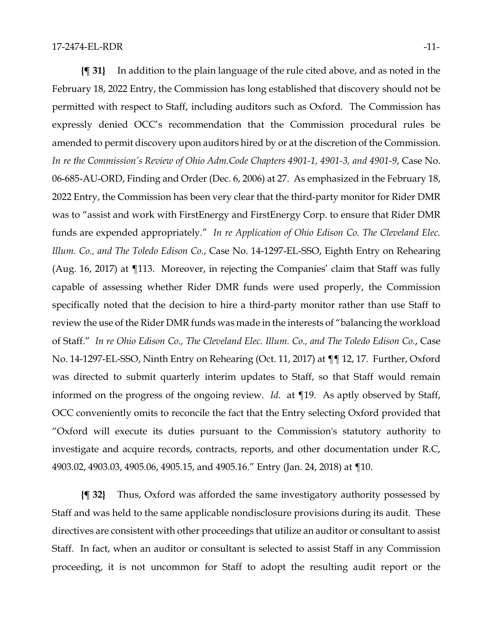**{¶ 31}** In addition to the plain language of the rule cited above, and as noted in the February 18, 2022 Entry, the Commission has long established that discovery should not be permitted with respect to Staff, including auditors such as Oxford. The Commission has expressly denied OCC's recommendation that the Commission procedural rules be amended to permit discovery upon auditors hired by or at the discretion of the Commission. *In re the Commission's Review of Ohio Adm.Code Chapters 4901-1, 4901-3, and 4901-9*, Case No. 06-685-AU-ORD, Finding and Order (Dec. 6, 2006) at 27. As emphasized in the February 18, 2022 Entry, the Commission has been very clear that the third-party monitor for Rider DMR was to "assist and work with FirstEnergy and FirstEnergy Corp. to ensure that Rider DMR funds are expended appropriately." *In re Application of Ohio Edison Co. The Cleveland Elec. Illum. Co., and The Toledo Edison Co.*, Case No. 14-1297-EL-SSO, Eighth Entry on Rehearing (Aug. 16, 2017) at ¶113. Moreover, in rejecting the Companies' claim that Staff was fully capable of assessing whether Rider DMR funds were used properly, the Commission specifically noted that the decision to hire a third-party monitor rather than use Staff to review the use of the Rider DMR funds was made in the interests of "balancing the workload of Staff." *In re Ohio Edison Co., The Cleveland Elec. Illum. Co., and The Toledo Edison Co.*, Case No. 14-1297-EL-SSO, Ninth Entry on Rehearing (Oct. 11, 2017) at ¶¶ 12, 17. Further, Oxford was directed to submit quarterly interim updates to Staff, so that Staff would remain informed on the progress of the ongoing review. *Id*. at ¶19. As aptly observed by Staff, OCC conveniently omits to reconcile the fact that the Entry selecting Oxford provided that "Oxford will execute its duties pursuant to the Commission's statutory authority to investigate and acquire records, contracts, reports, and other documentation under R.C, 4903.02, 4903.03, 4905.06, 4905.15, and 4905.16." Entry (Jan. 24, 2018) at ¶10.

**{¶ 32}** Thus, Oxford was afforded the same investigatory authority possessed by Staff and was held to the same applicable nondisclosure provisions during its audit. These directives are consistent with other proceedings that utilize an auditor or consultant to assist Staff. In fact, when an auditor or consultant is selected to assist Staff in any Commission proceeding, it is not uncommon for Staff to adopt the resulting audit report or the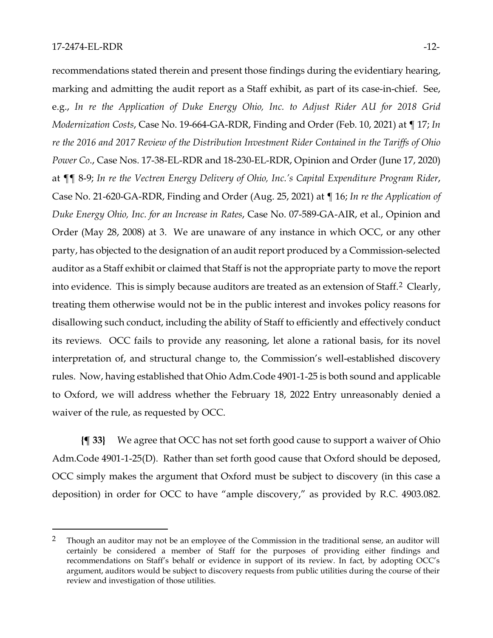recommendations stated therein and present those findings during the evidentiary hearing, marking and admitting the audit report as a Staff exhibit, as part of its case-in-chief. See, e.g., *In re the Application of Duke Energy Ohio, Inc. to Adjust Rider AU for 2018 Grid Modernization Costs*, Case No. 19-664-GA-RDR, Finding and Order (Feb. 10, 2021) at ¶ 17; *In re the 2016 and 2017 Review of the Distribution Investment Rider Contained in the Tariffs of Ohio Power Co*., Case Nos. 17-38-EL-RDR and 18-230-EL-RDR, Opinion and Order (June 17, 2020) at ¶¶ 8-9; *In re the Vectren Energy Delivery of Ohio, Inc.'s Capital Expenditure Program Rider*, Case No. 21-620-GA-RDR, Finding and Order (Aug. 25, 2021) at ¶ 16; *In re the Application of Duke Energy Ohio, Inc. for an Increase in Rates*, Case No. 07-589-GA-AIR, et al., Opinion and Order (May 28, 2008) at 3. We are unaware of any instance in which OCC, or any other party, has objected to the designation of an audit report produced by a Commission-selected auditor as a Staff exhibit or claimed that Staff is not the appropriate party to move the report into evidence. This is simply because auditors are treated as an extension of Staff.<sup>[2](#page-11-0)</sup> Clearly, treating them otherwise would not be in the public interest and invokes policy reasons for disallowing such conduct, including the ability of Staff to efficiently and effectively conduct its reviews. OCC fails to provide any reasoning, let alone a rational basis, for its novel interpretation of, and structural change to, the Commission's well-established discovery rules. Now, having established that Ohio Adm.Code 4901-1-25 is both sound and applicable to Oxford, we will address whether the February 18, 2022 Entry unreasonably denied a waiver of the rule, as requested by OCC.

**{¶ 33}** We agree that OCC has not set forth good cause to support a waiver of Ohio Adm.Code 4901-1-25(D). Rather than set forth good cause that Oxford should be deposed, OCC simply makes the argument that Oxford must be subject to discovery (in this case a deposition) in order for OCC to have "ample discovery," as provided by R.C. 4903.082.

<span id="page-11-0"></span><sup>&</sup>lt;sup>2</sup> Though an auditor may not be an employee of the Commission in the traditional sense, an auditor will certainly be considered a member of Staff for the purposes of providing either findings and recommendations on Staff's behalf or evidence in support of its review. In fact, by adopting OCC's argument, auditors would be subject to discovery requests from public utilities during the course of their review and investigation of those utilities.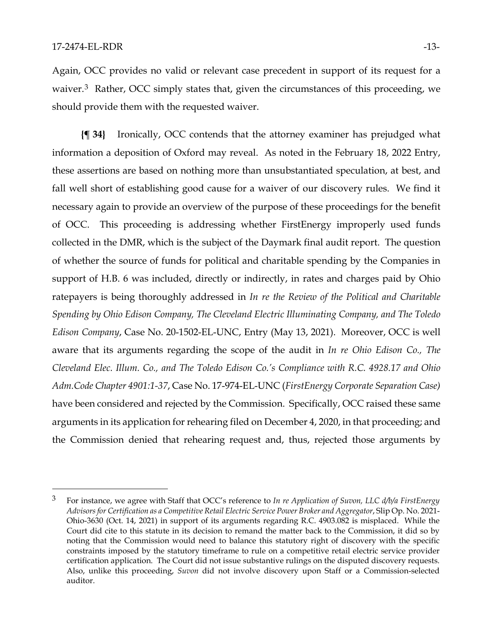Again, OCC provides no valid or relevant case precedent in support of its request for a waiver.<sup>3</sup> Rather, OCC simply states that, given the circumstances of this proceeding, we should provide them with the requested waiver.

**{¶ 34}** Ironically, OCC contends that the attorney examiner has prejudged what information a deposition of Oxford may reveal. As noted in the February 18, 2022 Entry, these assertions are based on nothing more than unsubstantiated speculation, at best, and fall well short of establishing good cause for a waiver of our discovery rules. We find it necessary again to provide an overview of the purpose of these proceedings for the benefit of OCC. This proceeding is addressing whether FirstEnergy improperly used funds collected in the DMR, which is the subject of the Daymark final audit report. The question of whether the source of funds for political and charitable spending by the Companies in support of H.B. 6 was included, directly or indirectly, in rates and charges paid by Ohio ratepayers is being thoroughly addressed in *In re the Review of the Political and Charitable Spending by Ohio Edison Company, The Cleveland Electric Illuminating Company, and The Toledo Edison Company*, Case No. 20-1502-EL-UNC, Entry (May 13, 2021). Moreover, OCC is well aware that its arguments regarding the scope of the audit in *In re Ohio Edison Co., The Cleveland Elec. Illum. Co., and The Toledo Edison Co.'s Compliance with R.C. 4928.17 and Ohio Adm.Code Chapter 4901:1-37*, Case No. 17-974-EL-UNC (*FirstEnergy Corporate Separation Case)* have been considered and rejected by the Commission. Specifically, OCC raised these same arguments in its application for rehearing filed on December 4, 2020, in that proceeding; and the Commission denied that rehearing request and, thus, rejected those arguments by

<span id="page-12-0"></span><sup>3</sup> For instance, we agree with Staff that OCC's reference to *In re Application of Suvon, LLC d/b/a FirstEnergy Advisors for Certification as a Competitive Retail Electric Service Power Broker and Aggregator*, Slip Op. No. 2021- Ohio-3630 (Oct. 14, 2021) in support of its arguments regarding R.C. 4903.082 is misplaced. While the Court did cite to this statute in its decision to remand the matter back to the Commission, it did so by noting that the Commission would need to balance this statutory right of discovery with the specific constraints imposed by the statutory timeframe to rule on a competitive retail electric service provider certification application. The Court did not issue substantive rulings on the disputed discovery requests. Also, unlike this proceeding, *Suvon* did not involve discovery upon Staff or a Commission-selected auditor.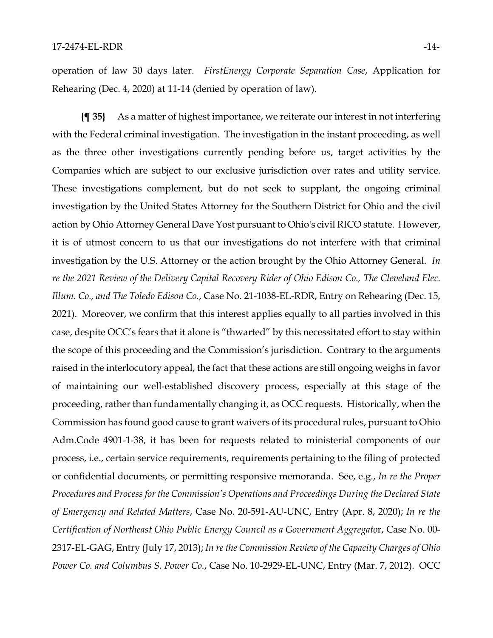operation of law 30 days later. *FirstEnergy Corporate Separation Case*, Application for Rehearing (Dec. 4, 2020) at 11-14 (denied by operation of law).

**{¶ 35}** As a matter of highest importance, we reiterate our interest in not interfering with the Federal criminal investigation. The investigation in the instant proceeding, as well as the three other investigations currently pending before us, target activities by the Companies which are subject to our exclusive jurisdiction over rates and utility service. These investigations complement, but do not seek to supplant, the ongoing criminal investigation by the United States Attorney for the Southern District for Ohio and the civil action by Ohio Attorney General Dave Yost pursuant to Ohio's civil RICO statute. However, it is of utmost concern to us that our investigations do not interfere with that criminal investigation by the U.S. Attorney or the action brought by the Ohio Attorney General. *In re the 2021 Review of the Delivery Capital Recovery Rider of Ohio Edison Co., The Cleveland Elec. Illum. Co., and The Toledo Edison Co.*, Case No. 21-1038-EL-RDR, Entry on Rehearing (Dec. 15, 2021). Moreover, we confirm that this interest applies equally to all parties involved in this case, despite OCC's fears that it alone is "thwarted" by this necessitated effort to stay within the scope of this proceeding and the Commission's jurisdiction. Contrary to the arguments raised in the interlocutory appeal, the fact that these actions are still ongoing weighs in favor of maintaining our well-established discovery process, especially at this stage of the proceeding, rather than fundamentally changing it, as OCC requests. Historically, when the Commission has found good cause to grant waivers of its procedural rules, pursuant to Ohio Adm.Code 4901-1-38, it has been for requests related to ministerial components of our process, i.e., certain service requirements, requirements pertaining to the filing of protected or confidential documents, or permitting responsive memoranda. See, e.g., *In re the Proper Procedures and Process for the Commission's Operations and Proceedings During the Declared State of Emergency and Related Matters*, Case No. 20-591-AU-UNC, Entry (Apr. 8, 2020); *In re the Certification of Northeast Ohio Public Energy Council as a Government Aggregato*r, Case No. 00- 2317-EL-GAG, Entry (July 17, 2013); *In re the Commission Review of the Capacity Charges of Ohio Power Co. and Columbus S. Power Co.*, Case No. 10-2929-EL-UNC, Entry (Mar. 7, 2012). OCC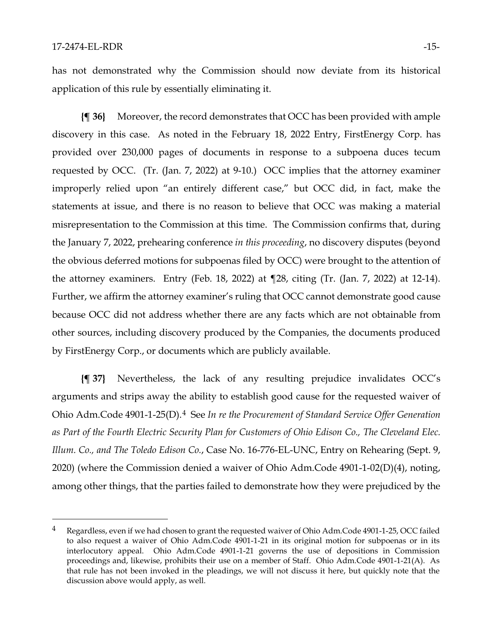has not demonstrated why the Commission should now deviate from its historical application of this rule by essentially eliminating it.

**{¶ 36}** Moreover, the record demonstrates that OCC has been provided with ample discovery in this case. As noted in the February 18, 2022 Entry, FirstEnergy Corp. has provided over 230,000 pages of documents in response to a subpoena duces tecum requested by OCC. (Tr. (Jan. 7, 2022) at 9-10.) OCC implies that the attorney examiner improperly relied upon "an entirely different case," but OCC did, in fact, make the statements at issue, and there is no reason to believe that OCC was making a material misrepresentation to the Commission at this time. The Commission confirms that, during the January 7, 2022, prehearing conference *in this proceeding*, no discovery disputes (beyond the obvious deferred motions for subpoenas filed by OCC) were brought to the attention of the attorney examiners. Entry (Feb. 18, 2022) at ¶28, citing (Tr. (Jan. 7, 2022) at 12-14). Further, we affirm the attorney examiner's ruling that OCC cannot demonstrate good cause because OCC did not address whether there are any facts which are not obtainable from other sources, including discovery produced by the Companies, the documents produced by FirstEnergy Corp., or documents which are publicly available.

**{¶ 37}** Nevertheless, the lack of any resulting prejudice invalidates OCC's arguments and strips away the ability to establish good cause for the requested waiver of Ohio Adm.Code 4901-1-25(D).[4](#page-14-0) See *In re the Procurement of Standard Service Offer Generation as Part of the Fourth Electric Security Plan for Customers of Ohio Edison Co., The Cleveland Elec. Illum. Co., and The Toledo Edison Co.*, Case No. 16-776-EL-UNC, Entry on Rehearing (Sept. 9, 2020) (where the Commission denied a waiver of Ohio Adm.Code 4901-1-02(D)(4), noting, among other things, that the parties failed to demonstrate how they were prejudiced by the

<span id="page-14-0"></span><sup>&</sup>lt;sup>4</sup> Regardless, even if we had chosen to grant the requested waiver of Ohio Adm.Code 4901-1-25, OCC failed to also request a waiver of Ohio Adm.Code 4901-1-21 in its original motion for subpoenas or in its interlocutory appeal. Ohio Adm.Code 4901-1-21 governs the use of depositions in Commission proceedings and, likewise, prohibits their use on a member of Staff. Ohio Adm.Code 4901-1-21(A). As that rule has not been invoked in the pleadings, we will not discuss it here, but quickly note that the discussion above would apply, as well.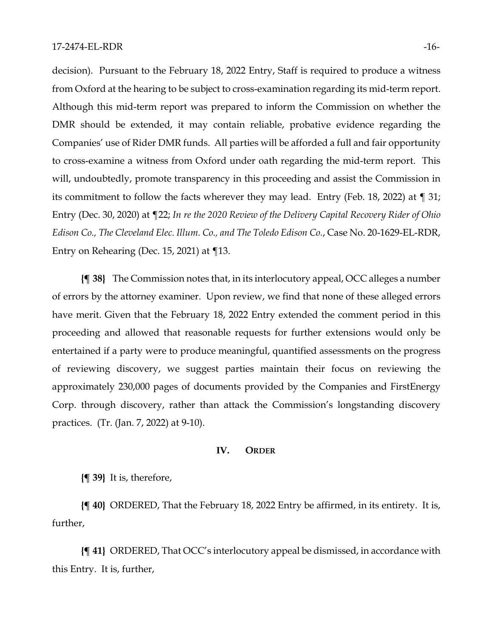decision). Pursuant to the February 18, 2022 Entry, Staff is required to produce a witness from Oxford at the hearing to be subject to cross-examination regarding its mid-term report. Although this mid-term report was prepared to inform the Commission on whether the DMR should be extended, it may contain reliable, probative evidence regarding the Companies' use of Rider DMR funds. All parties will be afforded a full and fair opportunity to cross-examine a witness from Oxford under oath regarding the mid-term report. This will, undoubtedly, promote transparency in this proceeding and assist the Commission in its commitment to follow the facts wherever they may lead. Entry (Feb. 18, 2022) at ¶ 31; Entry (Dec. 30, 2020) at ¶22; *In re the 2020 Review of the Delivery Capital Recovery Rider of Ohio Edison Co., The Cleveland Elec. Illum. Co., and The Toledo Edison Co.*, Case No. 20-1629-EL-RDR, Entry on Rehearing (Dec. 15, 2021) at ¶13.

**{¶ 38}** The Commission notes that, in its interlocutory appeal, OCC alleges a number of errors by the attorney examiner. Upon review, we find that none of these alleged errors have merit. Given that the February 18, 2022 Entry extended the comment period in this proceeding and allowed that reasonable requests for further extensions would only be entertained if a party were to produce meaningful, quantified assessments on the progress of reviewing discovery, we suggest parties maintain their focus on reviewing the approximately 230,000 pages of documents provided by the Companies and FirstEnergy Corp. through discovery, rather than attack the Commission's longstanding discovery practices. (Tr. (Jan. 7, 2022) at 9-10).

#### **IV. ORDER**

**{¶ 39}** It is, therefore,

**{¶ 40}** ORDERED, That the February 18, 2022 Entry be affirmed, in its entirety. It is, further,

**{¶ 41}** ORDERED, That OCC's interlocutory appeal be dismissed, in accordance with this Entry. It is, further,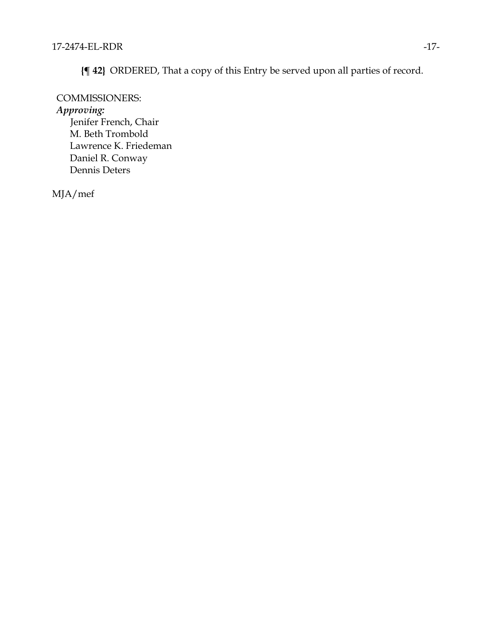**{¶ 42}** ORDERED, That a copy of this Entry be served upon all parties of record.

### COMMISSIONERS:

*Approving:*

Jenifer French, Chair M. Beth Trombold Lawrence K. Friedeman Daniel R. Conway Dennis Deters

MJA/mef